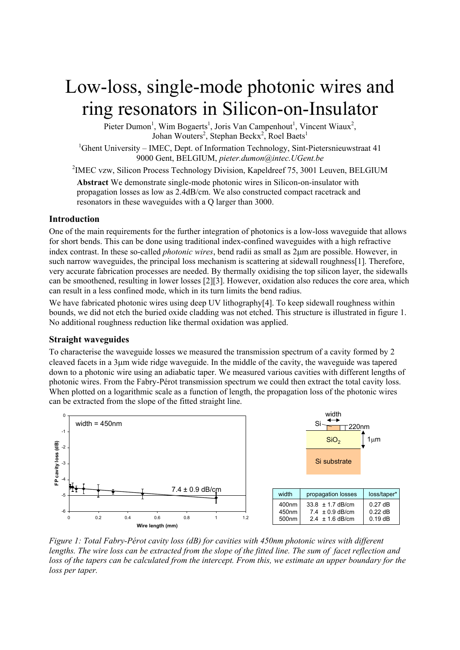# Low-loss, single-mode photonic wires and ring resonators in Silicon-on-Insulator

Pieter Dumon<sup>1</sup>, Wim Bogaerts<sup>1</sup>, Joris Van Campenhout<sup>1</sup>, Vincent Wiaux<sup>2</sup>, Johan Wouters<sup>2</sup>, Stephan Beckx<sup>2</sup>, Roel Baets<sup>1</sup>

<sup>1</sup>Ghent University – IMEC, Dept. of Information Technology, Sint-Pietersnieuwstraat 41 9000 Gent, BELGIUM, *pieter.dumon@intec.UGent.be*

<sup>2</sup>IMEC vzw, Silicon Process Technology Division, Kapeldreef 75, 3001 Leuven, BELGIUM

**Abstract** We demonstrate single-mode photonic wires in Silicon-on-insulator with propagation losses as low as 2.4dB/cm. We also constructed compact racetrack and resonators in these waveguides with a Q larger than 3000.

### **Introduction**

One of the main requirements for the further integration of photonics is a low-loss waveguide that allows for short bends. This can be done using traditional index-confined waveguides with a high refractive index contrast. In these so-called *photonic wires*, bend radii as small as 2µm are possible. However, in such narrow waveguides, the principal loss mechanism is scattering at sidewall roughness[1]. Therefore, very accurate fabrication processes are needed. By thermally oxidising the top silicon layer, the sidewalls can be smoothened, resulting in lower losses [2][3]. However, oxidation also reduces the core area, which can result in a less confined mode, which in its turn limits the bend radius.

We have fabricated photonic wires using deep UV lithography[4]. To keep sidewall roughness within bounds, we did not etch the buried oxide cladding was not etched. This structure is illustrated in figure 1. No additional roughness reduction like thermal oxidation was applied.

#### **Straight waveguides**

To characterise the waveguide losses we measured the transmission spectrum of a cavity formed by 2 cleaved facets in a 3µm wide ridge waveguide. In the middle of the cavity, the waveguide was tapered down to a photonic wire using an adiabatic taper. We measured various cavities with different lengths of photonic wires. From the Fabry-Pérot transmission spectrum we could then extract the total cavity loss. When plotted on a logarithmic scale as a function of length, the propagation loss of the photonic wires can be extracted from the slope of the fitted straight line.



*Figure 1: Total Fabry-Pérot cavity loss (dB) for cavities with 450nm photonic wires with different lengths. The wire loss can be extracted from the slope of the fitted line. The sum of facet reflection and loss of the tapers can be calculated from the intercept. From this, we estimate an upper boundary for the loss per taper.*